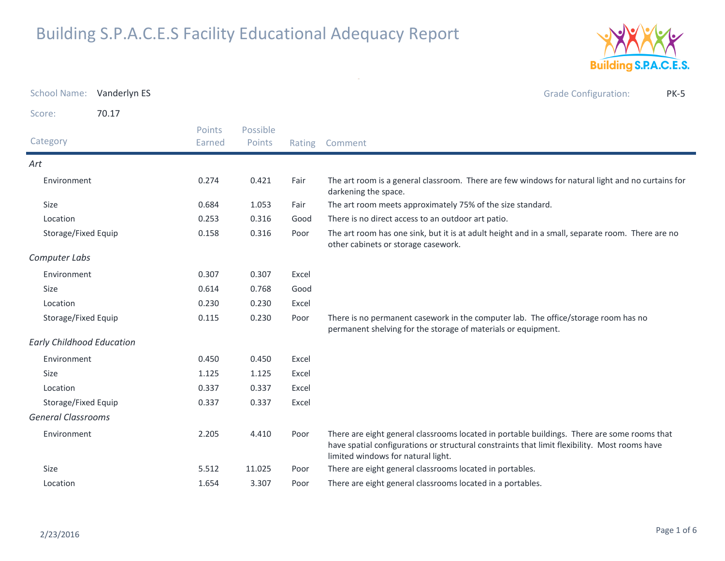

| School Name: Vanderlyn ES        |       |                  |                    |        | <b>Grade Configuration:</b><br><b>PK-5</b>                                                                                                                                                                                         |
|----------------------------------|-------|------------------|--------------------|--------|------------------------------------------------------------------------------------------------------------------------------------------------------------------------------------------------------------------------------------|
| Score:                           | 70.17 |                  |                    |        |                                                                                                                                                                                                                                    |
| Category                         |       | Points<br>Earned | Possible<br>Points | Rating | Comment                                                                                                                                                                                                                            |
| Art                              |       |                  |                    |        |                                                                                                                                                                                                                                    |
| Environment                      |       | 0.274            | 0.421              | Fair   | The art room is a general classroom. There are few windows for natural light and no curtains for<br>darkening the space.                                                                                                           |
| Size                             |       | 0.684            | 1.053              | Fair   | The art room meets approximately 75% of the size standard.                                                                                                                                                                         |
| Location                         |       | 0.253            | 0.316              | Good   | There is no direct access to an outdoor art patio.                                                                                                                                                                                 |
| Storage/Fixed Equip              |       | 0.158            | 0.316              | Poor   | The art room has one sink, but it is at adult height and in a small, separate room. There are no<br>other cabinets or storage casework.                                                                                            |
| Computer Labs                    |       |                  |                    |        |                                                                                                                                                                                                                                    |
| Environment                      |       | 0.307            | 0.307              | Excel  |                                                                                                                                                                                                                                    |
| Size                             |       | 0.614            | 0.768              | Good   |                                                                                                                                                                                                                                    |
| Location                         |       | 0.230            | 0.230              | Excel  |                                                                                                                                                                                                                                    |
| Storage/Fixed Equip              |       | 0.115            | 0.230              | Poor   | There is no permanent casework in the computer lab. The office/storage room has no<br>permanent shelving for the storage of materials or equipment.                                                                                |
| <b>Early Childhood Education</b> |       |                  |                    |        |                                                                                                                                                                                                                                    |
| Environment                      |       | 0.450            | 0.450              | Excel  |                                                                                                                                                                                                                                    |
| Size                             |       | 1.125            | 1.125              | Excel  |                                                                                                                                                                                                                                    |
| Location                         |       | 0.337            | 0.337              | Excel  |                                                                                                                                                                                                                                    |
| Storage/Fixed Equip              |       | 0.337            | 0.337              | Excel  |                                                                                                                                                                                                                                    |
| <b>General Classrooms</b>        |       |                  |                    |        |                                                                                                                                                                                                                                    |
| Environment                      |       | 2.205            | 4.410              | Poor   | There are eight general classrooms located in portable buildings. There are some rooms that<br>have spatial configurations or structural constraints that limit flexibility. Most rooms have<br>limited windows for natural light. |
| Size                             |       | 5.512            | 11.025             | Poor   | There are eight general classrooms located in portables.                                                                                                                                                                           |
| Location                         |       | 1.654            | 3.307              | Poor   | There are eight general classrooms located in a portables.                                                                                                                                                                         |

 $\sim$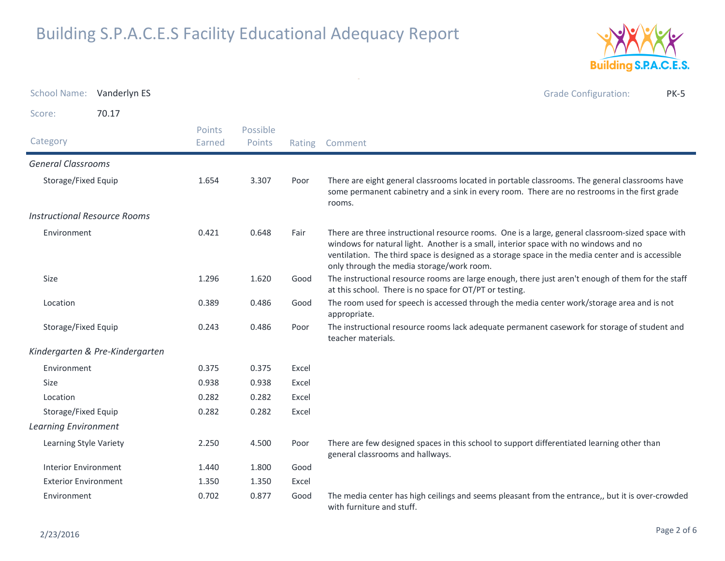

School Name: Vanderlyn ES Grade Configuration: PK-5Score: 70.17**Category**  Rating Comment Possible PointsPoints EarnedGeneral ClassroomsStorage/Fixed Equip There are eight general classrooms located in portable classrooms. The general classrooms have some permanent cabinetry and a sink in every room. There are no restrooms in the first grade rooms.1.6543.307 Instructional Resource RoomsEnvironment There are three instructional resource rooms. One is a large, general classroom-sized space with windows for natural light. Another is a small, interior space with no windows and no ventilation. The third space is designed as a storage space in the media center and is accessible only through the media storage/work room.0.421 $0.648$ Size The instructional resource rooms are large enough, there just aren't enough of them for the staff at this school. There is no space for OT/PT or testing. 1.2961.620 Location The room used for speech is accessed through the media center work/storage area and is not appropriate. 0.3890.486 Storage/Fixed Equip The instructional resource rooms lack adequate permanent casework for storage of student and teacher materials. 0.243 $0.486$ Kindergarten & Pre-KindergartenEnvironment 0.375 0.375 Excel Sizee 0.938 0.938 Excel Location 0.282 0.282 Excel Storage/Fixed Equip 0.282 0.282 Excel Learning EnvironmentLearning Style Variety There are few designed spaces in this school to support differentiated learning other than general classrooms and hallways.2.2504.500 Interior Environment 1.440 1.800 GoodExterior Environment 1.350 1.350 Excel Environment The media center has high ceilings and seems pleasant from the entrance,, but it is over-crowded with furniture and stuff.0.7020.877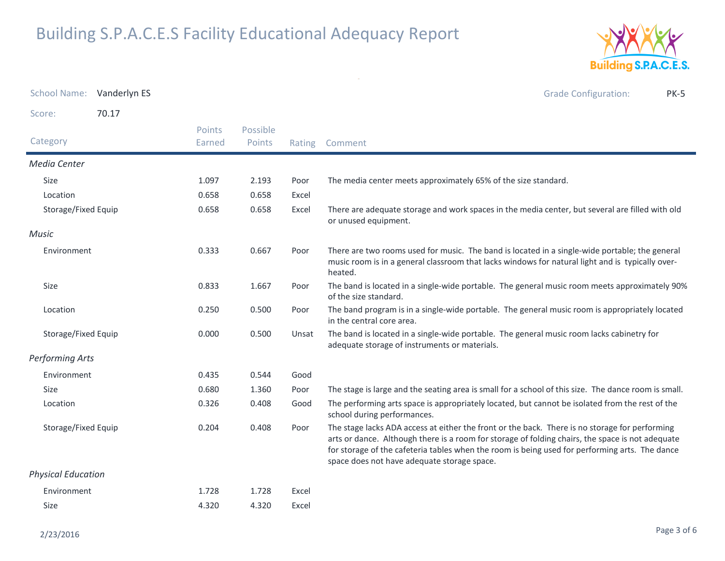

| School Name: Vanderlyn ES |       |                  |                    |        | <b>Grade Configuration:</b><br><b>PK-5</b>                                                                                                                                                                                                                                                                                                          |
|---------------------------|-------|------------------|--------------------|--------|-----------------------------------------------------------------------------------------------------------------------------------------------------------------------------------------------------------------------------------------------------------------------------------------------------------------------------------------------------|
| Score:                    | 70.17 |                  |                    |        |                                                                                                                                                                                                                                                                                                                                                     |
| Category                  |       | Points<br>Earned | Possible<br>Points | Rating | Comment                                                                                                                                                                                                                                                                                                                                             |
| Media Center              |       |                  |                    |        |                                                                                                                                                                                                                                                                                                                                                     |
| Size                      |       | 1.097            | 2.193              | Poor   | The media center meets approximately 65% of the size standard.                                                                                                                                                                                                                                                                                      |
| Location                  |       | 0.658            | 0.658              | Excel  |                                                                                                                                                                                                                                                                                                                                                     |
| Storage/Fixed Equip       |       | 0.658            | 0.658              | Excel  | There are adequate storage and work spaces in the media center, but several are filled with old<br>or unused equipment.                                                                                                                                                                                                                             |
| Music                     |       |                  |                    |        |                                                                                                                                                                                                                                                                                                                                                     |
| Environment               |       | 0.333            | 0.667              | Poor   | There are two rooms used for music. The band is located in a single-wide portable; the general<br>music room is in a general classroom that lacks windows for natural light and is typically over-<br>heated.                                                                                                                                       |
| Size                      |       | 0.833            | 1.667              | Poor   | The band is located in a single-wide portable. The general music room meets approximately 90%<br>of the size standard.                                                                                                                                                                                                                              |
| Location                  |       | 0.250            | 0.500              | Poor   | The band program is in a single-wide portable. The general music room is appropriately located<br>in the central core area.                                                                                                                                                                                                                         |
| Storage/Fixed Equip       |       | 0.000            | 0.500              | Unsat  | The band is located in a single-wide portable. The general music room lacks cabinetry for<br>adequate storage of instruments or materials.                                                                                                                                                                                                          |
| <b>Performing Arts</b>    |       |                  |                    |        |                                                                                                                                                                                                                                                                                                                                                     |
| Environment               |       | 0.435            | 0.544              | Good   |                                                                                                                                                                                                                                                                                                                                                     |
| <b>Size</b>               |       | 0.680            | 1.360              | Poor   | The stage is large and the seating area is small for a school of this size. The dance room is small.                                                                                                                                                                                                                                                |
| Location                  |       | 0.326            | 0.408              | Good   | The performing arts space is appropriately located, but cannot be isolated from the rest of the<br>school during performances.                                                                                                                                                                                                                      |
| Storage/Fixed Equip       |       | 0.204            | 0.408              | Poor   | The stage lacks ADA access at either the front or the back. There is no storage for performing<br>arts or dance. Although there is a room for storage of folding chairs, the space is not adequate<br>for storage of the cafeteria tables when the room is being used for performing arts. The dance<br>space does not have adequate storage space. |
| <b>Physical Education</b> |       |                  |                    |        |                                                                                                                                                                                                                                                                                                                                                     |
| Environment               |       | 1.728            | 1.728              | Excel  |                                                                                                                                                                                                                                                                                                                                                     |
| Size                      |       | 4.320            | 4.320              | Excel  |                                                                                                                                                                                                                                                                                                                                                     |

 $\sim$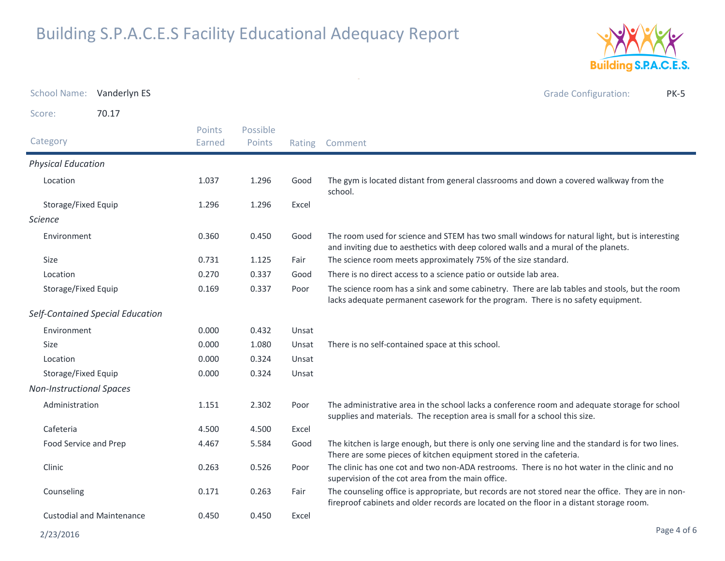

School Name: Vanderlyn ES Grade Configuration: PK-5Score: 70.17**Category**  Rating Comment Possible PointsPoints EarnedPhysical EducationLocation The gym is located distant from general classrooms and down a covered walkway from the school. 1.0371.296 Storage/Fixed Equip 1.296 1.296 Excel ScienceEnvironmentGood The room used for science and STEM has two small windows for natural light, but is interesting and inviting due to aesthetics with deep colored walls and a mural of the planets. 0.360 $0.450$ Sizee 0.731 1.125 Fair The science room meets approximately 75% of the size standard. Location 0.270 0.337 Good There is no direct access to a science patio or outside lab area. Storage/Fixed Equip The science room has a sink and some cabinetry. There are lab tables and stools, but the room lacks adequate permanent casework for the program. There is no safety equipment.0.1690.337 Self-Contained Special EducationEnvironment 0.000 0.432 Unsat Sizee 0.000 1.080 Unsat There is no self-contained space at this school. Locationn 1980 0.000 0.324 Unsat Storage/Fixed Equip 0.000 0.324 Unsat Non-Instructional SpacesAdministration The administrative area in the school lacks a conference room and adequate storage for school supplies and materials. The reception area is small for a school this size.1.151 $2.302$ Cafeteriaa 4.500 4.500 Excel Food Service and Prep The kitchen is large enough, but there is only one serving line and the standard is for two lines. There are some pieces of kitchen equipment stored in the cafeteria.4.4675.584 Clinic The clinic has one cot and two non-ADA restrooms. There is no hot water in the clinic and no supervision of the cot area from the main office.0.263 $0.526$ Counseling0.171 0.263 Fair The counseling office is appropriate, but records are not stored near the office. They are in non-0.171 0.263 Fair The counseling office is appropriate, but records are not stored near the office. They a<br>fireproof cabinets and older records are located on the floor in a distant storage room. Custodial and Maintenance 0.4500.450 Excel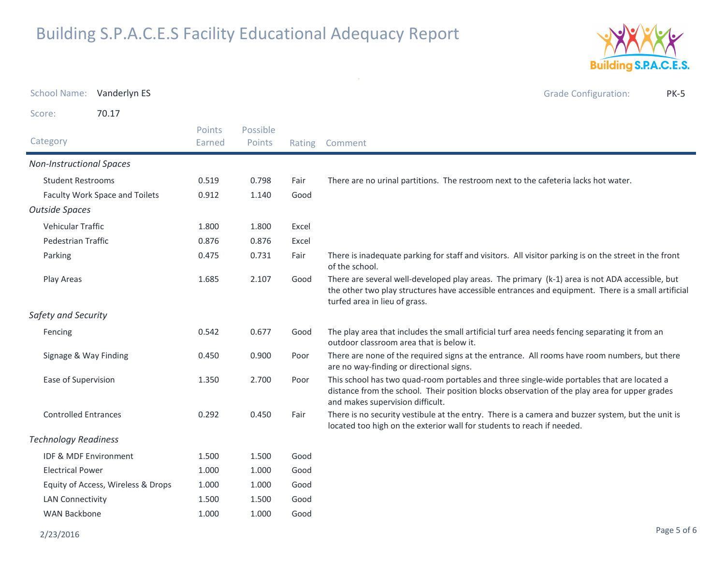

School Name: Vanderlyn ES Grade Configuration: PK-5Score: 70.17**Category**  Rating Comment Possible PointsPoints EarnedNon-Instructional SpacesStudent Restrooms 0.519 0.798 Fair There are no urinal partitions. The restroom next to the cafeteria lacks hot water. Faculty Work Space and Toilets **Good** Good Good 1.140 Outside SpacesVehicular Traffic $c = 1.800$  1.800 Excel Pedestrian Traffic 0.876 0.876 Excel Parking There is inadequate parking for staff and visitors. All visitor parking is on the street in the front of the school. 0.475 $0.731$ Play Areas There are several well-developed play areas. The primary (k-1) area is not ADA accessible, but the other two play structures have accessible entrances and equipment. There is a small artificial turfed area in lieu of grass. 1.6852.107 Safety and SecurityFencing The play area that includes the small artificial turf area needs fencing separating it from an outdoor classroom area that is below it. 0.5420.677 Signage & Way Finding There are none of the required signs at the entrance. All rooms have room numbers, but there are no way-finding or directional signs.0.4500.900 Ease of Supervision This school has two quad-room portables and three single-wide portables that are located a distance from the school. Their position blocks observation of the play area for upper grades and makes supervision difficult.1.3502.700 Controlled Entrances There is no security vestibule at the entry. There is a camera and buzzer system, but the unit is located too high on the exterior wall for students to reach if needed. 0.292 $0.450$ Technology ReadinessIDF & MDF Environment 1.500 1.500 GoodElectrical Power 1.000 1.000 GoodEquity of Access, Wireless & Drops and the state of 1.000 Good 1.000 LAN Connectivity 1.500 1.500 GoodWAN Backbone 1.0001.000 Good